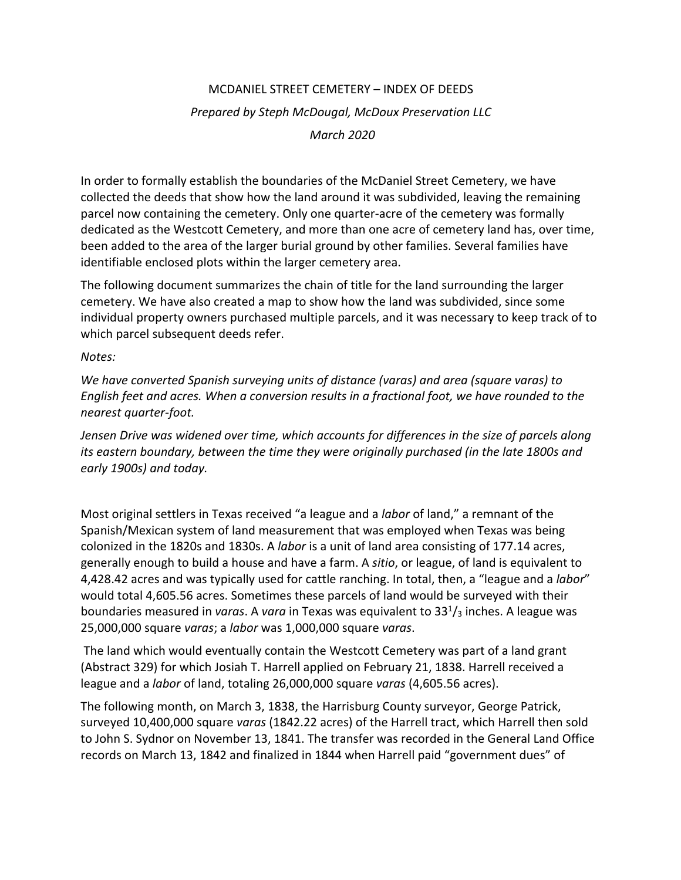## MCDANIEL STREET CEMETERY – INDEX OF DEEDS *Prepared by Steph McDougal, McDoux Preservation LLC March 2020*

In order to formally establish the boundaries of the McDaniel Street Cemetery, we have collected the deeds that show how the land around it was subdivided, leaving the remaining parcel now containing the cemetery. Only one quarter-acre of the cemetery was formally dedicated as the Westcott Cemetery, and more than one acre of cemetery land has, over time, been added to the area of the larger burial ground by other families. Several families have identifiable enclosed plots within the larger cemetery area.

The following document summarizes the chain of title for the land surrounding the larger cemetery. We have also created a map to show how the land was subdivided, since some individual property owners purchased multiple parcels, and it was necessary to keep track of to which parcel subsequent deeds refer.

*Notes:*

*We have converted Spanish surveying units of distance (varas) and area (square varas) to English feet and acres. When a conversion results in a fractional foot, we have rounded to the nearest quarter-foot.*

*Jensen Drive was widened over time, which accounts for differences in the size of parcels along its eastern boundary, between the time they were originally purchased (in the late 1800s and early 1900s) and today.*

Most original settlers in Texas received "a league and a *labor* of land," a remnant of the Spanish/Mexican system of land measurement that was employed when Texas was being colonized in the 1820s and 1830s. A *labor* is a unit of land area consisting of 177.14 acres, generally enough to build a house and have a farm. A *sitio*, or league, of land is equivalent to 4,428.42 acres and was typically used for cattle ranching. In total, then, a "league and a *labor*" would total 4,605.56 acres. Sometimes these parcels of land would be surveyed with their boundaries measured in *varas*. A *vara* in Texas was equivalent to 331 /3 inches. A league was 25,000,000 square *varas*; a *labor* was 1,000,000 square *varas*.

The land which would eventually contain the Westcott Cemetery was part of a land grant (Abstract 329) for which Josiah T. Harrell applied on February 21, 1838. Harrell received a league and a *labor* of land, totaling 26,000,000 square *varas* (4,605.56 acres).

The following month, on March 3, 1838, the Harrisburg County surveyor, George Patrick, surveyed 10,400,000 square *varas* (1842.22 acres) of the Harrell tract, which Harrell then sold to John S. Sydnor on November 13, 1841. The transfer was recorded in the General Land Office records on March 13, 1842 and finalized in 1844 when Harrell paid "government dues" of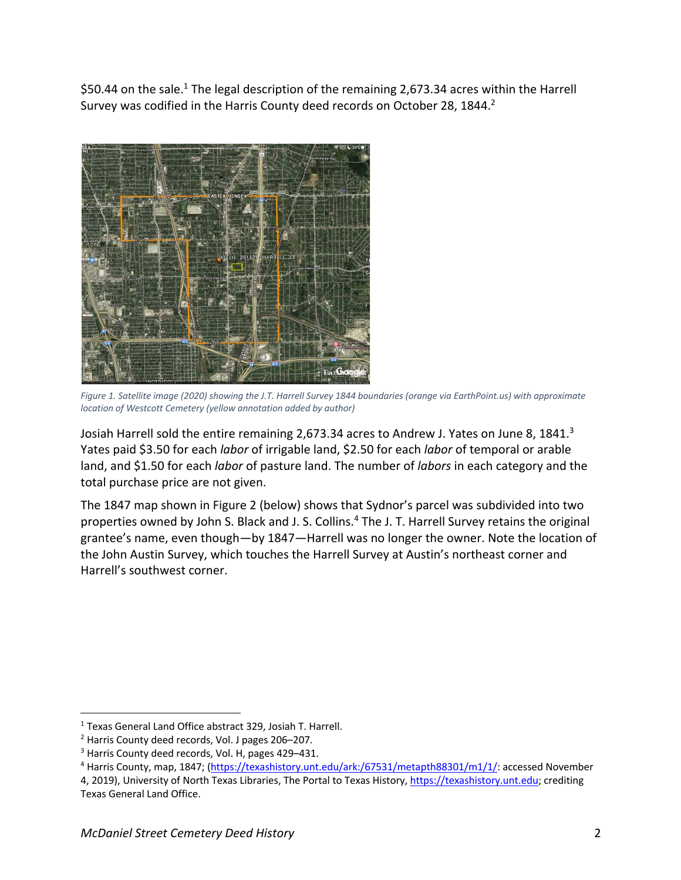\$50.44 on the sale.<sup>1</sup> The legal description of the remaining 2,673.34 acres within the Harrell Survey was codified in the Harris County deed records on October 28, 1844.<sup>2</sup>



*Figure 1. Satellite image (2020) showing the J.T. Harrell Survey 1844 boundaries (orange via EarthPoint.us) with approximate location of Westcott Cemetery (yellow annotation added by author)*

Josiah Harrell sold the entire remaining 2,673.34 acres to Andrew J. Yates on June 8, 1841.<sup>3</sup> Yates paid \$3.50 for each *labor* of irrigable land, \$2.50 for each *labor* of temporal or arable land, and \$1.50 for each *labor* of pasture land. The number of *labors* in each category and the total purchase price are not given.

The 1847 map shown in Figure 2 (below) shows that Sydnor's parcel was subdivided into two properties owned by John S. Black and J. S. Collins.<sup>4</sup> The J. T. Harrell Survey retains the original grantee's name, even though—by 1847—Harrell was no longer the owner. Note the location of the John Austin Survey, which touches the Harrell Survey at Austin's northeast corner and Harrell's southwest corner.

<sup>1</sup> Texas General Land Office abstract 329, Josiah T. Harrell.

<sup>&</sup>lt;sup>2</sup> Harris County deed records, Vol. J pages 206–207.<br><sup>3</sup> Harris County deed records, Vol. H, pages 429–431.

<sup>&</sup>lt;sup>4</sup> Harris County, map, 1847; (https://texashistory.unt.edu/ark:/67531/metapth88301/m1/1/: accessed November

<sup>4, 2019),</sup> University of North Texas Libraries, The Portal to Texas History, https://texashistory.unt.edu; crediting Texas General Land Office.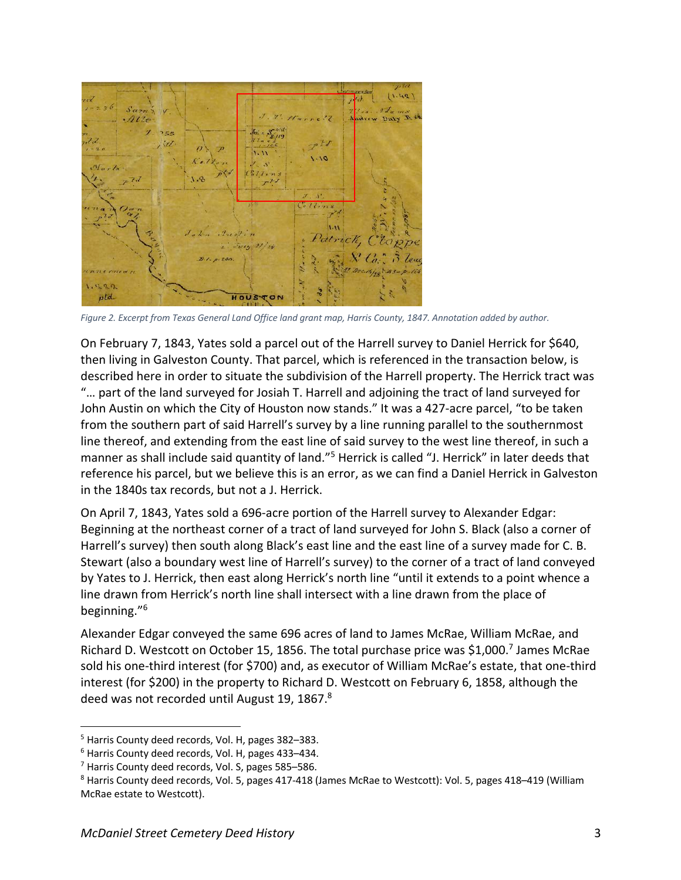

*Figure 2. Excerpt from Texas General Land Office land grant map, Harris County, 1847. Annotation added by author.*

On February 7, 1843, Yates sold a parcel out of the Harrell survey to Daniel Herrick for \$640, then living in Galveston County. That parcel, which is referenced in the transaction below, is described here in order to situate the subdivision of the Harrell property. The Herrick tract was "… part of the land surveyed for Josiah T. Harrell and adjoining the tract of land surveyed for John Austin on which the City of Houston now stands." It was a 427-acre parcel, "to be taken from the southern part of said Harrell's survey by a line running parallel to the southernmost line thereof, and extending from the east line of said survey to the west line thereof, in such a manner as shall include said quantity of land."<sup>5</sup> Herrick is called "J. Herrick" in later deeds that reference his parcel, but we believe this is an error, as we can find a Daniel Herrick in Galveston in the 1840s tax records, but not a J. Herrick.

On April 7, 1843, Yates sold a 696-acre portion of the Harrell survey to Alexander Edgar: Beginning at the northeast corner of a tract of land surveyed for John S. Black (also a corner of Harrell's survey) then south along Black's east line and the east line of a survey made for C. B. Stewart (also a boundary west line of Harrell's survey) to the corner of a tract of land conveyed by Yates to J. Herrick, then east along Herrick's north line "until it extends to a point whence a line drawn from Herrick's north line shall intersect with a line drawn from the place of beginning."6

Alexander Edgar conveyed the same 696 acres of land to James McRae, William McRae, and Richard D. Westcott on October 15, 1856. The total purchase price was \$1,000.7 James McRae sold his one-third interest (for \$700) and, as executor of William McRae's estate, that one-third interest (for \$200) in the property to Richard D. Westcott on February 6, 1858, although the deed was not recorded until August 19, 1867.<sup>8</sup>

<sup>5</sup> Harris County deed records, Vol. H, pages 382–383.

<sup>6</sup> Harris County deed records, Vol. H, pages 433–434.

<sup>7</sup> Harris County deed records, Vol. S, pages 585–586.

<sup>8</sup> Harris County deed records, Vol. 5, pages 417-418 (James McRae to Westcott): Vol. 5, pages 418–419 (William McRae estate to Westcott).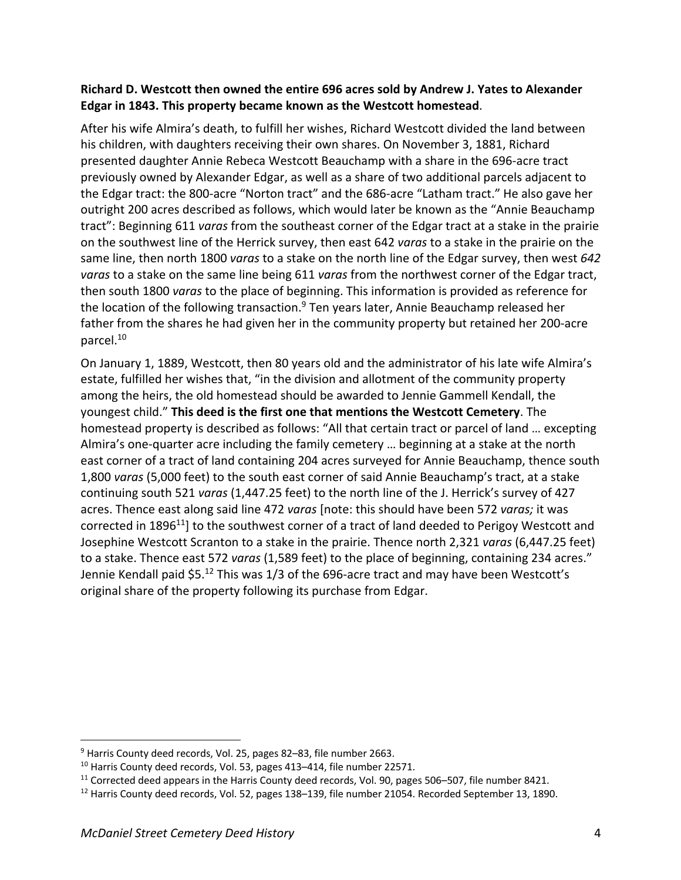## **Richard D. Westcott then owned the entire 696 acres sold by Andrew J. Yates to Alexander Edgar in 1843. This property became known as the Westcott homestead**.

After his wife Almira's death, to fulfill her wishes, Richard Westcott divided the land between his children, with daughters receiving their own shares. On November 3, 1881, Richard presented daughter Annie Rebeca Westcott Beauchamp with a share in the 696-acre tract previously owned by Alexander Edgar, as well as a share of two additional parcels adjacent to the Edgar tract: the 800-acre "Norton tract" and the 686-acre "Latham tract." He also gave her outright 200 acres described as follows, which would later be known as the "Annie Beauchamp tract": Beginning 611 *varas* from the southeast corner of the Edgar tract at a stake in the prairie on the southwest line of the Herrick survey, then east 642 *varas* to a stake in the prairie on the same line, then north 1800 *varas* to a stake on the north line of the Edgar survey, then west *642 varas* to a stake on the same line being 611 *varas* from the northwest corner of the Edgar tract, then south 1800 *varas* to the place of beginning. This information is provided as reference for the location of the following transaction. $9$  Ten years later, Annie Beauchamp released her father from the shares he had given her in the community property but retained her 200-acre parcel.10

On January 1, 1889, Westcott, then 80 years old and the administrator of his late wife Almira's estate, fulfilled her wishes that, "in the division and allotment of the community property among the heirs, the old homestead should be awarded to Jennie Gammell Kendall, the youngest child." **This deed is the first one that mentions the Westcott Cemetery**. The homestead property is described as follows: "All that certain tract or parcel of land … excepting Almira's one-quarter acre including the family cemetery … beginning at a stake at the north east corner of a tract of land containing 204 acres surveyed for Annie Beauchamp, thence south 1,800 *varas* (5,000 feet) to the south east corner of said Annie Beauchamp's tract, at a stake continuing south 521 *varas* (1,447.25 feet) to the north line of the J. Herrick's survey of 427 acres. Thence east along said line 472 *varas* [note: this should have been 572 *varas;* it was corrected in 1896<sup>11</sup>] to the southwest corner of a tract of land deeded to Perigoy Westcott and Josephine Westcott Scranton to a stake in the prairie. Thence north 2,321 *varas* (6,447.25 feet) to a stake. Thence east 572 *varas* (1,589 feet) to the place of beginning, containing 234 acres." Jennie Kendall paid \$5.<sup>12</sup> This was 1/3 of the 696-acre tract and may have been Westcott's original share of the property following its purchase from Edgar.

<sup>&</sup>lt;sup>9</sup> Harris County deed records, Vol. 25, pages 82–83, file number 2663.

<sup>&</sup>lt;sup>10</sup> Harris County deed records, Vol. 53, pages 413-414, file number 22571.

 $11$  Corrected deed appears in the Harris County deed records, Vol. 90, pages 506–507, file number 8421.

<sup>&</sup>lt;sup>12</sup> Harris County deed records, Vol. 52, pages 138–139, file number 21054. Recorded September 13, 1890.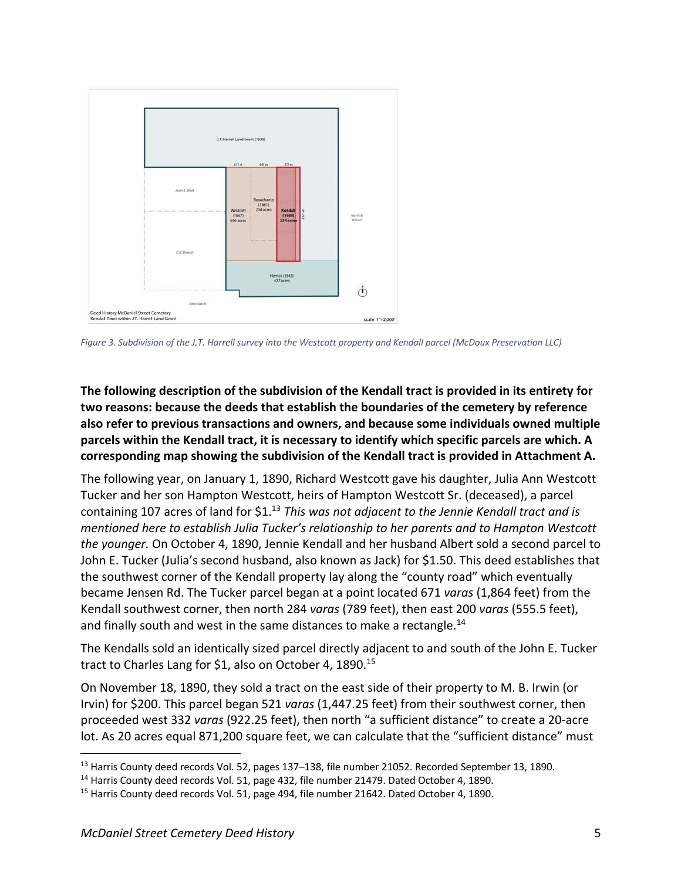![](_page_4_Figure_0.jpeg)

*Figure 3. Subdivision of the J.T. Harrell survey into the Westcott property and Kendall parcel (McDoux Preservation LLC)*

**The following description of the subdivision of the Kendall tract is provided in its entirety for two reasons: because the deeds that establish the boundaries of the cemetery by reference also refer to previous transactions and owners, and because some individuals owned multiple parcels within the Kendall tract, it is necessary to identify which specific parcels are which. A corresponding map showing the subdivision of the Kendall tract is provided in Attachment A.**

The following year, on January 1, 1890, Richard Westcott gave his daughter, Julia Ann Westcott Tucker and her son Hampton Westcott, heirs of Hampton Westcott Sr. (deceased), a parcel containing 107 acres of land for \$1. <sup>13</sup> *This was not adjacent to the Jennie Kendall tract and is mentioned here to establish Julia Tucker's relationship to her parents and to Hampton Westcott the younger.* On October 4, 1890, Jennie Kendall and her husband Albert sold a second parcel to John E. Tucker (Julia's second husband, also known as Jack) for \$1.50. This deed establishes that the southwest corner of the Kendall property lay along the "county road" which eventually became Jensen Rd. The Tucker parcel began at a point located 671 *varas* (1,864 feet) from the Kendall southwest corner, then north 284 *varas* (789 feet), then east 200 *varas* (555.5 feet), and finally south and west in the same distances to make a rectangle.<sup>14</sup>

The Kendalls sold an identically sized parcel directly adjacent to and south of the John E. Tucker tract to Charles Lang for \$1, also on October 4, 1890.<sup>15</sup>

On November 18, 1890, they sold a tract on the east side of their property to M. B. Irwin (or Irvin) for \$200. This parcel began 521 *varas* (1,447.25 feet) from their southwest corner, then proceeded west 332 *varas* (922.25 feet), then north "a sufficient distance" to create a 20-acre lot. As 20 acres equal 871,200 square feet, we can calculate that the "sufficient distance" must

<sup>&</sup>lt;sup>13</sup> Harris County deed records Vol. 52, pages 137-138, file number 21052. Recorded September 13, 1890.

<sup>&</sup>lt;sup>14</sup> Harris County deed records Vol. 51, page 432, file number 21479. Dated October 4, 1890.

<sup>&</sup>lt;sup>15</sup> Harris County deed records Vol. 51, page 494, file number 21642. Dated October 4, 1890.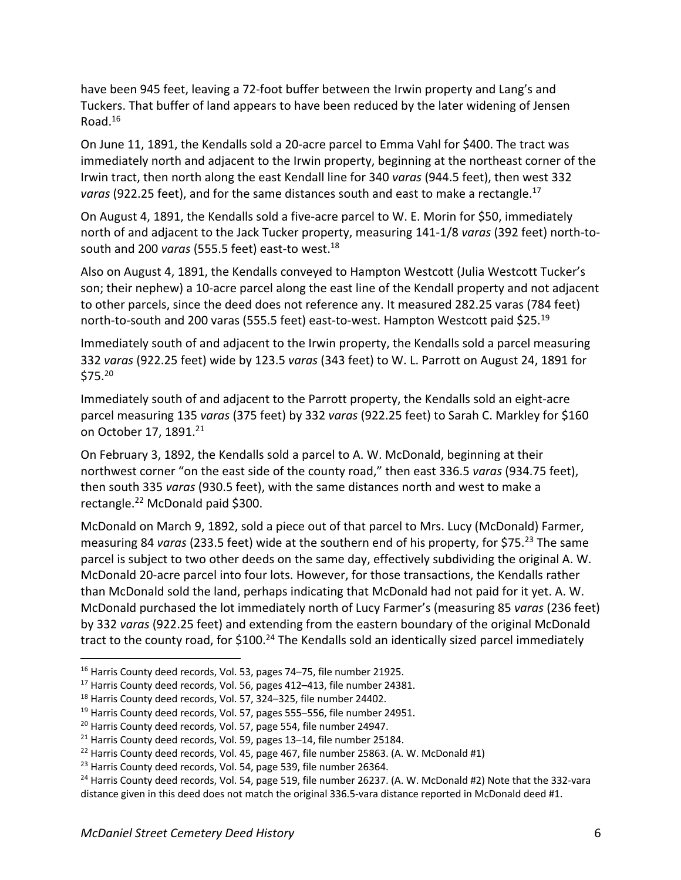have been 945 feet, leaving a 72-foot buffer between the Irwin property and Lang's and Tuckers. That buffer of land appears to have been reduced by the later widening of Jensen Road. $16$ 

On June 11, 1891, the Kendalls sold a 20-acre parcel to Emma Vahl for \$400. The tract was immediately north and adjacent to the Irwin property, beginning at the northeast corner of the Irwin tract, then north along the east Kendall line for 340 *varas* (944.5 feet), then west 332 *varas* (922.25 feet), and for the same distances south and east to make a rectangle.17

On August 4, 1891, the Kendalls sold a five-acre parcel to W. E. Morin for \$50, immediately north of and adjacent to the Jack Tucker property, measuring 141-1/8 *varas* (392 feet) north-tosouth and 200 *varas* (555.5 feet) east-to west.<sup>18</sup>

Also on August 4, 1891, the Kendalls conveyed to Hampton Westcott (Julia Westcott Tucker's son; their nephew) a 10-acre parcel along the east line of the Kendall property and not adjacent to other parcels, since the deed does not reference any. It measured 282.25 varas (784 feet) north-to-south and 200 varas (555.5 feet) east-to-west. Hampton Westcott paid \$25.<sup>19</sup>

Immediately south of and adjacent to the Irwin property, the Kendalls sold a parcel measuring 332 *varas* (922.25 feet) wide by 123.5 *varas* (343 feet) to W. L. Parrott on August 24, 1891 for  $$75.<sup>20</sup>$ 

Immediately south of and adjacent to the Parrott property, the Kendalls sold an eight-acre parcel measuring 135 *varas* (375 feet) by 332 *varas* (922.25 feet) to Sarah C. Markley for \$160 on October 17, 1891.<sup>21</sup>

On February 3, 1892, the Kendalls sold a parcel to A. W. McDonald, beginning at their northwest corner "on the east side of the county road," then east 336.5 *varas* (934.75 feet), then south 335 *varas* (930.5 feet), with the same distances north and west to make a rectangle.22 McDonald paid \$300.

McDonald on March 9, 1892, sold a piece out of that parcel to Mrs. Lucy (McDonald) Farmer, measuring 84 *varas* (233.5 feet) wide at the southern end of his property, for \$75.23 The same parcel is subject to two other deeds on the same day, effectively subdividing the original A. W. McDonald 20-acre parcel into four lots. However, for those transactions, the Kendalls rather than McDonald sold the land, perhaps indicating that McDonald had not paid for it yet. A. W. McDonald purchased the lot immediately north of Lucy Farmer's (measuring 85 *varas* (236 feet) by 332 *varas* (922.25 feet) and extending from the eastern boundary of the original McDonald tract to the county road, for \$100.<sup>24</sup> The Kendalls sold an identically sized parcel immediately

<sup>&</sup>lt;sup>16</sup> Harris County deed records, Vol. 53, pages 74–75, file number 21925.<br><sup>17</sup> Harris County deed records, Vol. 56, pages 412–413, file number 24381.

<sup>&</sup>lt;sup>18</sup> Harris County deed records, Vol. 57, 324-325, file number 24402.

<sup>&</sup>lt;sup>19</sup> Harris County deed records, Vol. 57, pages 555–556, file number 24951.

<sup>&</sup>lt;sup>20</sup> Harris County deed records, Vol. 57, page 554, file number 24947.

<sup>&</sup>lt;sup>21</sup> Harris County deed records, Vol. 59, pages 13–14, file number 25184.

 $22$  Harris County deed records, Vol. 45, page 467, file number 25863. (A. W. McDonald #1)

<sup>&</sup>lt;sup>23</sup> Harris County deed records, Vol. 54, page 539, file number 26364.

 $24$  Harris County deed records, Vol. 54, page 519, file number 26237. (A. W. McDonald #2) Note that the 332-vara distance given in this deed does not match the original 336.5-vara distance reported in McDonald deed #1.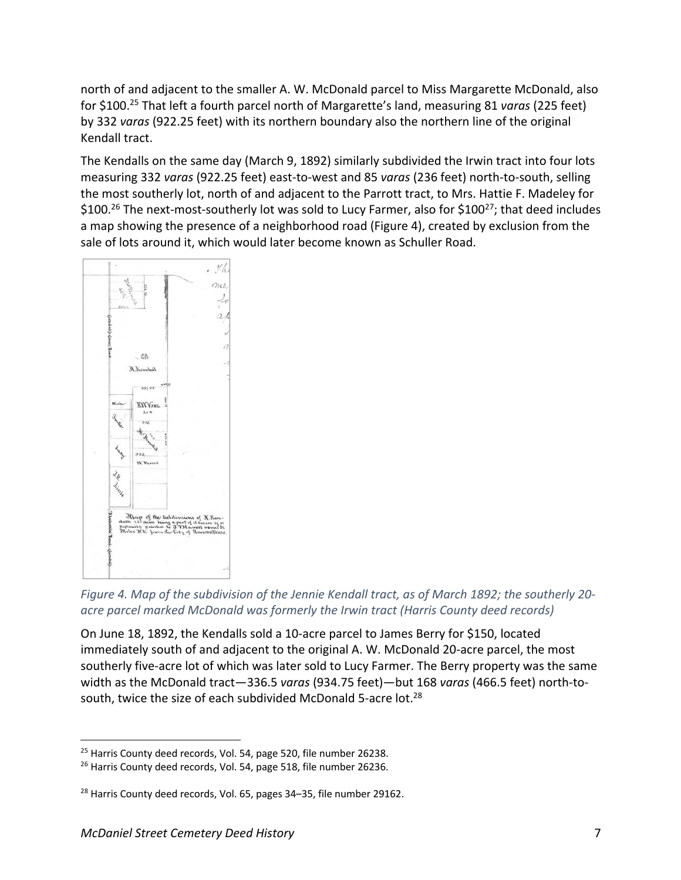north of and adjacent to the smaller A. W. McDonald parcel to Miss Margarette McDonald, also for \$100.25 That left a fourth parcel north of Margarette's land, measuring 81 *varas* (225 feet) by 332 *varas* (922.25 feet) with its northern boundary also the northern line of the original Kendall tract.

The Kendalls on the same day (March 9, 1892) similarly subdivided the Irwin tract into four lots measuring 332 *varas* (922.25 feet) east-to-west and 85 *varas* (236 feet) north-to-south, selling the most southerly lot, north of and adjacent to the Parrott tract, to Mrs. Hattie F. Madeley for  $$100.<sup>26</sup>$  The next-most-southerly lot was sold to Lucy Farmer, also for  $$100<sup>27</sup>$ ; that deed includes a map showing the presence of a neighborhood road (Figure 4), created by exclusion from the sale of lots around it, which would later become known as Schuller Road.

![](_page_6_Figure_2.jpeg)

*Figure 4. Map of the subdivision of the Jennie Kendall tract, as of March 1892; the southerly 20 acre parcel marked McDonald was formerly the Irwin tract (Harris County deed records)*

On June 18, 1892, the Kendalls sold a 10-acre parcel to James Berry for \$150, located immediately south of and adjacent to the original A. W. McDonald 20-acre parcel, the most southerly five-acre lot of which was later sold to Lucy Farmer. The Berry property was the same width as the McDonald tract—336.5 *varas* (934.75 feet)—but 168 *varas* (466.5 feet) north-tosouth, twice the size of each subdivided McDonald 5-acre lot.<sup>28</sup>

 $25$  Harris County deed records, Vol. 54, page 520, file number 26238.

<sup>&</sup>lt;sup>26</sup> Harris County deed records, Vol. 54, page 518, file number 26236.

<sup>&</sup>lt;sup>28</sup> Harris County deed records, Vol. 65, pages 34-35, file number 29162.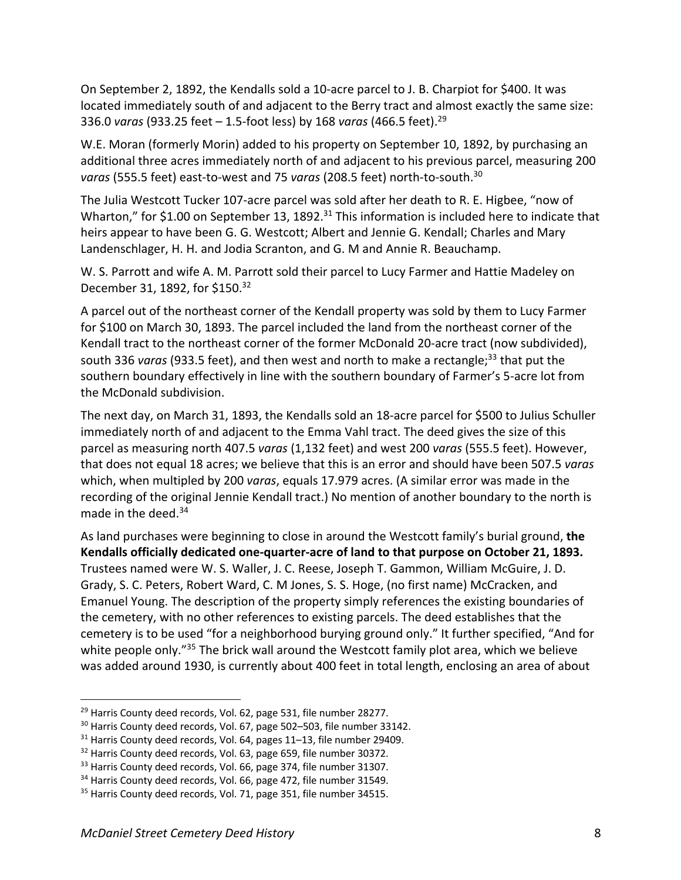On September 2, 1892, the Kendalls sold a 10-acre parcel to J. B. Charpiot for \$400. It was located immediately south of and adjacent to the Berry tract and almost exactly the same size: 336.0 *varas* (933.25 feet – 1.5-foot less) by 168 *varas* (466.5 feet). 29

W.E. Moran (formerly Morin) added to his property on September 10, 1892, by purchasing an additional three acres immediately north of and adjacent to his previous parcel, measuring 200 *varas* (555.5 feet) east-to-west and 75 *varas* (208.5 feet) north-to-south.30

The Julia Westcott Tucker 107-acre parcel was sold after her death to R. E. Higbee, "now of Wharton," for \$1.00 on September 13, 1892.<sup>31</sup> This information is included here to indicate that heirs appear to have been G. G. Westcott; Albert and Jennie G. Kendall; Charles and Mary Landenschlager, H. H. and Jodia Scranton, and G. M and Annie R. Beauchamp.

W. S. Parrott and wife A. M. Parrott sold their parcel to Lucy Farmer and Hattie Madeley on December 31, 1892, for \$150.32

A parcel out of the northeast corner of the Kendall property was sold by them to Lucy Farmer for \$100 on March 30, 1893. The parcel included the land from the northeast corner of the Kendall tract to the northeast corner of the former McDonald 20-acre tract (now subdivided), south 336 *varas* (933.5 feet), and then west and north to make a rectangle;<sup>33</sup> that put the southern boundary effectively in line with the southern boundary of Farmer's 5-acre lot from the McDonald subdivision.

The next day, on March 31, 1893, the Kendalls sold an 18-acre parcel for \$500 to Julius Schuller immediately north of and adjacent to the Emma Vahl tract. The deed gives the size of this parcel as measuring north 407.5 *varas* (1,132 feet) and west 200 *varas* (555.5 feet). However, that does not equal 18 acres; we believe that this is an error and should have been 507.5 *varas* which, when multipled by 200 *varas*, equals 17.979 acres. (A similar error was made in the recording of the original Jennie Kendall tract.) No mention of another boundary to the north is made in the deed.<sup>34</sup>

As land purchases were beginning to close in around the Westcott family's burial ground, **the Kendalls officially dedicated one-quarter-acre of land to that purpose on October 21, 1893.** Trustees named were W. S. Waller, J. C. Reese, Joseph T. Gammon, William McGuire, J. D. Grady, S. C. Peters, Robert Ward, C. M Jones, S. S. Hoge, (no first name) McCracken, and Emanuel Young. The description of the property simply references the existing boundaries of the cemetery, with no other references to existing parcels. The deed establishes that the cemetery is to be used "for a neighborhood burying ground only." It further specified, "And for white people only."<sup>35</sup> The brick wall around the Westcott family plot area, which we believe was added around 1930, is currently about 400 feet in total length, enclosing an area of about

<sup>&</sup>lt;sup>29</sup> Harris County deed records, Vol. 62, page 531, file number 28277.

<sup>&</sup>lt;sup>30</sup> Harris County deed records, Vol. 67, page 502-503, file number 33142.

<sup>31</sup> Harris County deed records, Vol. 64, pages 11–13, file number 29409.

<sup>&</sup>lt;sup>32</sup> Harris County deed records, Vol. 63, page 659, file number 30372.

<sup>&</sup>lt;sup>33</sup> Harris County deed records, Vol. 66, page 374, file number 31307.<br><sup>34</sup> Harris County deed records, Vol. 66, page 472, file number 31549.

<sup>&</sup>lt;sup>35</sup> Harris County deed records, Vol. 71, page 351, file number 34515.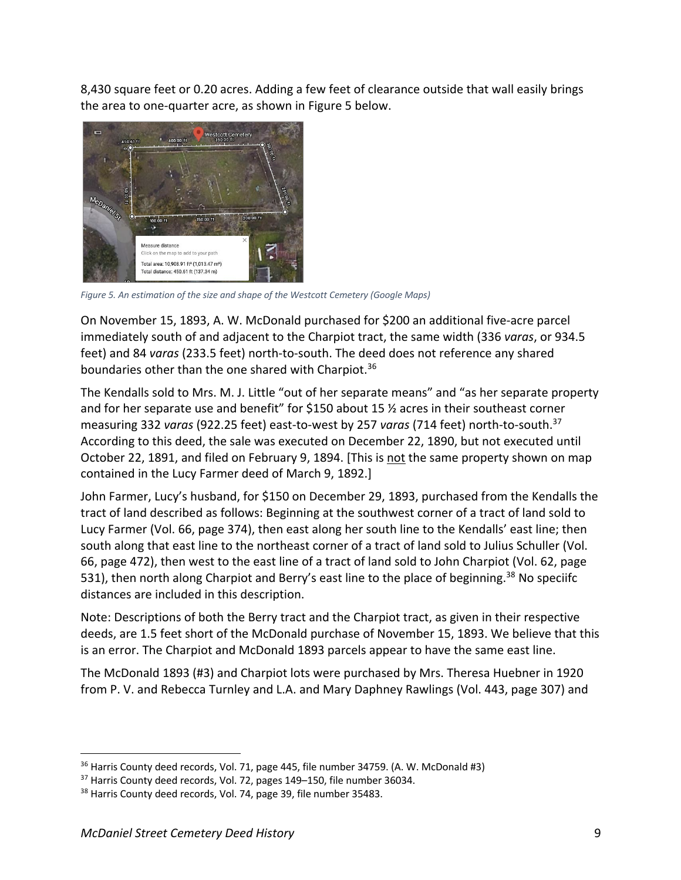8,430 square feet or 0.20 acres. Adding a few feet of clearance outside that wall easily brings the area to one-quarter acre, as shown in Figure 5 below.

![](_page_8_Picture_1.jpeg)

*Figure 5. An estimation of the size and shape of the Westcott Cemetery (Google Maps)*

On November 15, 1893, A. W. McDonald purchased for \$200 an additional five-acre parcel immediately south of and adjacent to the Charpiot tract, the same width (336 *varas*, or 934.5 feet) and 84 *varas* (233.5 feet) north-to-south. The deed does not reference any shared boundaries other than the one shared with Charpiot.<sup>36</sup>

The Kendalls sold to Mrs. M. J. Little "out of her separate means" and "as her separate property and for her separate use and benefit" for \$150 about 15 ½ acres in their southeast corner measuring 332 *varas* (922.25 feet) east-to-west by 257 *varas* (714 feet) north-to-south.37 According to this deed, the sale was executed on December 22, 1890, but not executed until October 22, 1891, and filed on February 9, 1894. [This is not the same property shown on map contained in the Lucy Farmer deed of March 9, 1892.]

John Farmer, Lucy's husband, for \$150 on December 29, 1893, purchased from the Kendalls the tract of land described as follows: Beginning at the southwest corner of a tract of land sold to Lucy Farmer (Vol. 66, page 374), then east along her south line to the Kendalls' east line; then south along that east line to the northeast corner of a tract of land sold to Julius Schuller (Vol. 66, page 472), then west to the east line of a tract of land sold to John Charpiot (Vol. 62, page 531), then north along Charpiot and Berry's east line to the place of beginning.<sup>38</sup> No speciifc distances are included in this description.

Note: Descriptions of both the Berry tract and the Charpiot tract, as given in their respective deeds, are 1.5 feet short of the McDonald purchase of November 15, 1893. We believe that this is an error. The Charpiot and McDonald 1893 parcels appear to have the same east line.

The McDonald 1893 (#3) and Charpiot lots were purchased by Mrs. Theresa Huebner in 1920 from P. V. and Rebecca Turnley and L.A. and Mary Daphney Rawlings (Vol. 443, page 307) and

<sup>36</sup> Harris County deed records, Vol. 71, page 445, file number 34759. (A. W. McDonald #3)

<sup>&</sup>lt;sup>37</sup> Harris County deed records, Vol. 72, pages 149–150, file number 36034.

<sup>&</sup>lt;sup>38</sup> Harris County deed records, Vol. 74, page 39, file number 35483.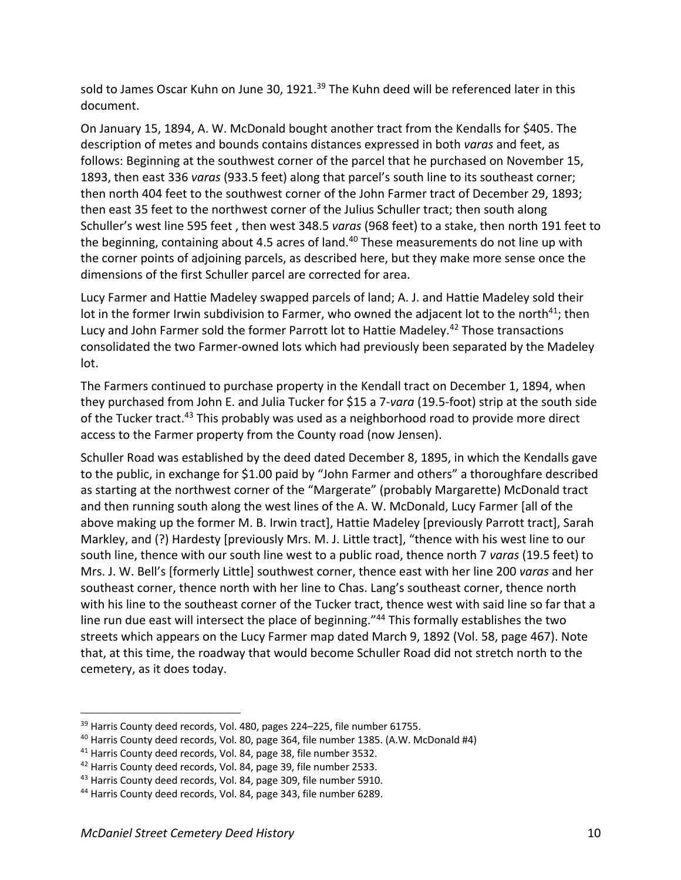sold to James Oscar Kuhn on June 30, 1921. $^{39}$  The Kuhn deed will be referenced later in this document.

On January 15, 1894, A. W. McDonald bought another tract from the Kendalls for \$405. The description of metes and bounds contains distances expressed in both *varas* and feet, as follows: Beginning at the southwest corner of the parcel that he purchased on November 15, 1893, then east 336 *varas* (933.5 feet) along that parcel's south line to its southeast corner; then north 404 feet to the southwest corner of the John Farmer tract of December 29, 1893; then east 35 feet to the northwest corner of the Julius Schuller tract; then south along Schuller's west line 595 feet , then west 348.5 *varas* (968 feet) to a stake, then north 191 feet to the beginning, containing about 4.5 acres of land. $40$  These measurements do not line up with the corner points of adjoining parcels, as described here, but they make more sense once the dimensions of the first Schuller parcel are corrected for area.

Lucy Farmer and Hattie Madeley swapped parcels of land; A. J. and Hattie Madeley sold their lot in the former Irwin subdivision to Farmer, who owned the adjacent lot to the north<sup>41</sup>; then Lucy and John Farmer sold the former Parrott lot to Hattie Madeley.<sup>42</sup> Those transactions consolidated the two Farmer-owned lots which had previously been separated by the Madeley lot.

The Farmers continued to purchase property in the Kendall tract on December 1, 1894, when they purchased from John E. and Julia Tucker for \$15 a 7-*vara* (19.5-foot) strip at the south side of the Tucker tract.<sup>43</sup> This probably was used as a neighborhood road to provide more direct access to the Farmer property from the County road (now Jensen).

Schuller Road was established by the deed dated December 8, 1895, in which the Kendalls gave to the public, in exchange for \$1.00 paid by "John Farmer and others" a thoroughfare described as starting at the northwest corner of the "Margerate" (probably Margarette) McDonald tract and then running south along the west lines of the A. W. McDonald, Lucy Farmer [all of the above making up the former M. B. Irwin tract], Hattie Madeley [previously Parrott tract], Sarah Markley, and (?) Hardesty [previously Mrs. M. J. Little tract], "thence with his west line to our south line, thence with our south line west to a public road, thence north 7 *varas* (19.5 feet) to Mrs. J. W. Bell's [formerly Little] southwest corner, thence east with her line 200 *varas* and her southeast corner, thence north with her line to Chas. Lang's southeast corner, thence north with his line to the southeast corner of the Tucker tract, thence west with said line so far that a line run due east will intersect the place of beginning."<sup>44</sup> This formally establishes the two streets which appears on the Lucy Farmer map dated March 9, 1892 (Vol. 58, page 467). Note that, at this time, the roadway that would become Schuller Road did not stretch north to the cemetery, as it does today.

<sup>&</sup>lt;sup>39</sup> Harris County deed records, Vol. 480, pages 224–225, file number 61755.

<sup>&</sup>lt;sup>40</sup> Harris County deed records, Vol. 80, page 364, file number 1385. (A.W. McDonald #4)

<sup>41</sup> Harris County deed records, Vol. 84, page 38, file number 3532.

<sup>&</sup>lt;sup>42</sup> Harris County deed records, Vol. 84, page 39, file number 2533.

<sup>43</sup> Harris County deed records, Vol. 84, page 309, file number 5910.

<sup>44</sup> Harris County deed records, Vol. 84, page 343, file number 6289.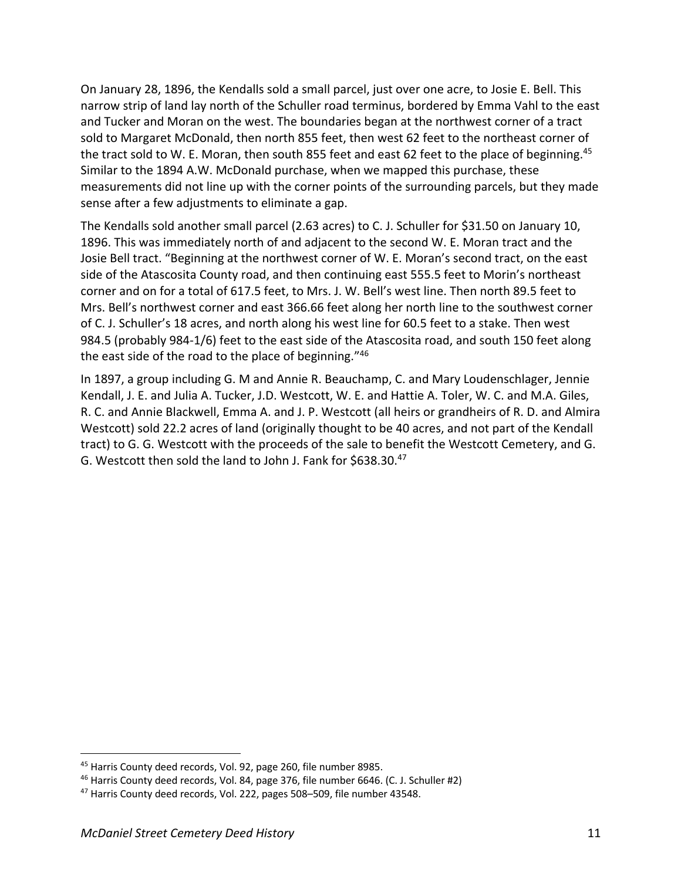On January 28, 1896, the Kendalls sold a small parcel, just over one acre, to Josie E. Bell. This narrow strip of land lay north of the Schuller road terminus, bordered by Emma Vahl to the east and Tucker and Moran on the west. The boundaries began at the northwest corner of a tract sold to Margaret McDonald, then north 855 feet, then west 62 feet to the northeast corner of the tract sold to W. E. Moran, then south 855 feet and east 62 feet to the place of beginning.<sup>45</sup> Similar to the 1894 A.W. McDonald purchase, when we mapped this purchase, these measurements did not line up with the corner points of the surrounding parcels, but they made sense after a few adjustments to eliminate a gap.

The Kendalls sold another small parcel (2.63 acres) to C. J. Schuller for \$31.50 on January 10, 1896. This was immediately north of and adjacent to the second W. E. Moran tract and the Josie Bell tract. "Beginning at the northwest corner of W. E. Moran's second tract, on the east side of the Atascosita County road, and then continuing east 555.5 feet to Morin's northeast corner and on for a total of 617.5 feet, to Mrs. J. W. Bell's west line. Then north 89.5 feet to Mrs. Bell's northwest corner and east 366.66 feet along her north line to the southwest corner of C. J. Schuller's 18 acres, and north along his west line for 60.5 feet to a stake. Then west 984.5 (probably 984-1/6) feet to the east side of the Atascosita road, and south 150 feet along the east side of the road to the place of beginning."46

In 1897, a group including G. M and Annie R. Beauchamp, C. and Mary Loudenschlager, Jennie Kendall, J. E. and Julia A. Tucker, J.D. Westcott, W. E. and Hattie A. Toler, W. C. and M.A. Giles, R. C. and Annie Blackwell, Emma A. and J. P. Westcott (all heirs or grandheirs of R. D. and Almira Westcott) sold 22.2 acres of land (originally thought to be 40 acres, and not part of the Kendall tract) to G. G. Westcott with the proceeds of the sale to benefit the Westcott Cemetery, and G. G. Westcott then sold the land to John J. Fank for \$638.30.47

<sup>45</sup> Harris County deed records, Vol. 92, page 260, file number 8985.

<sup>46</sup> Harris County deed records, Vol. 84, page 376, file number 6646. (C. J. Schuller #2)

<sup>&</sup>lt;sup>47</sup> Harris County deed records, Vol. 222, pages 508–509, file number 43548.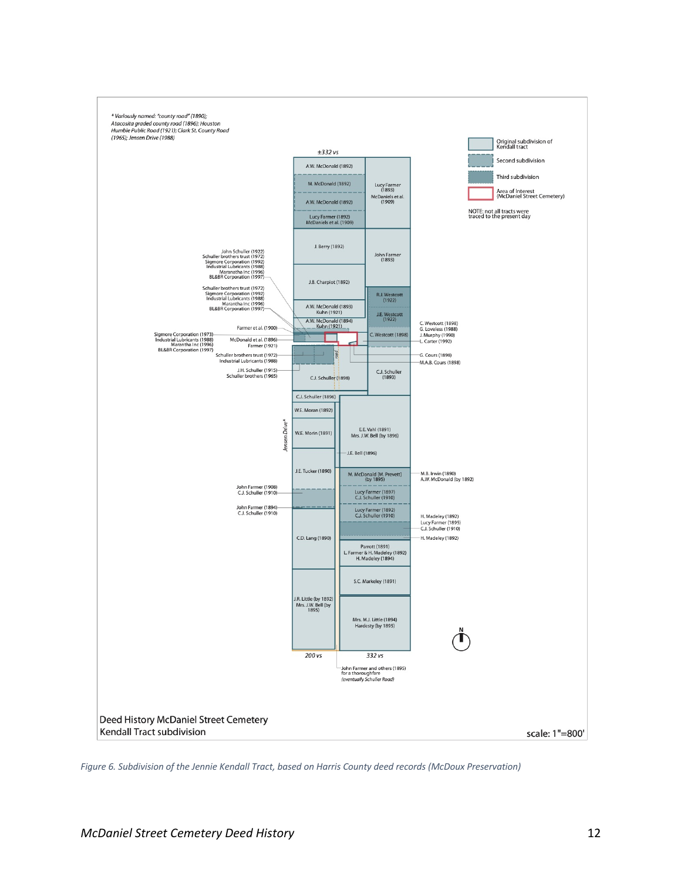![](_page_11_Figure_0.jpeg)

*Figure 6. Subdivision of the Jennie Kendall Tract, based on Harris County deed records (McDoux Preservation)*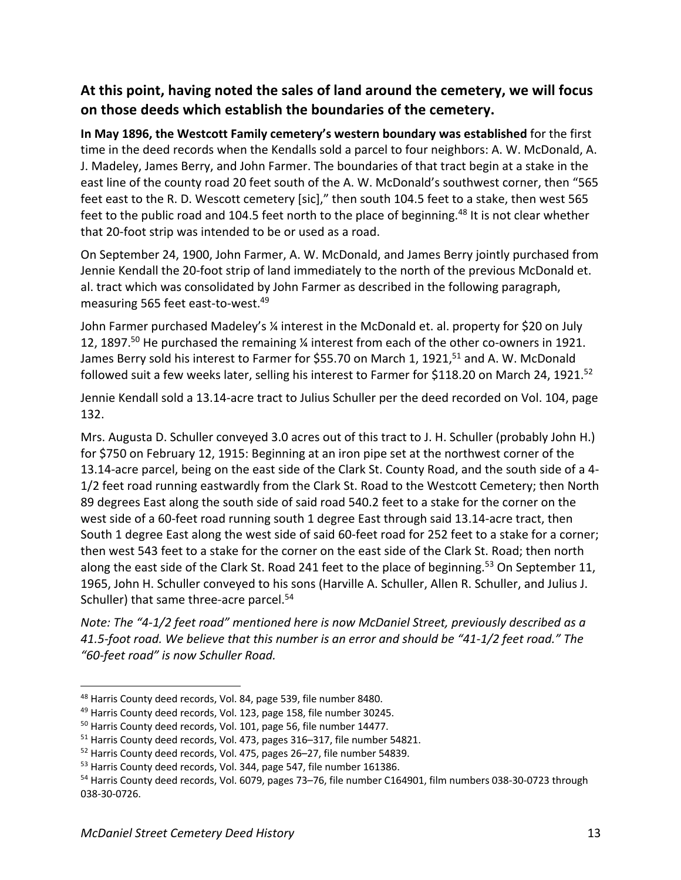## **At this point, having noted the sales of land around the cemetery, we will focus on those deeds which establish the boundaries of the cemetery.**

**In May 1896, the Westcott Family cemetery's western boundary was established** for the first time in the deed records when the Kendalls sold a parcel to four neighbors: A. W. McDonald, A. J. Madeley, James Berry, and John Farmer. The boundaries of that tract begin at a stake in the east line of the county road 20 feet south of the A. W. McDonald's southwest corner, then "565 feet east to the R. D. Wescott cemetery [sic]," then south 104.5 feet to a stake, then west 565 feet to the public road and 104.5 feet north to the place of beginning.<sup>48</sup> It is not clear whether that 20-foot strip was intended to be or used as a road.

On September 24, 1900, John Farmer, A. W. McDonald, and James Berry jointly purchased from Jennie Kendall the 20-foot strip of land immediately to the north of the previous McDonald et. al. tract which was consolidated by John Farmer as described in the following paragraph, measuring 565 feet east-to-west.49

John Farmer purchased Madeley's ¼ interest in the McDonald et. al. property for \$20 on July 12, 1897.<sup>50</sup> He purchased the remaining  $\frac{1}{4}$  interest from each of the other co-owners in 1921. James Berry sold his interest to Farmer for \$55.70 on March 1, 1921,<sup>51</sup> and A. W. McDonald followed suit a few weeks later, selling his interest to Farmer for \$118.20 on March 24, 1921.<sup>52</sup>

Jennie Kendall sold a 13.14-acre tract to Julius Schuller per the deed recorded on Vol. 104, page 132.

Mrs. Augusta D. Schuller conveyed 3.0 acres out of this tract to J. H. Schuller (probably John H.) for \$750 on February 12, 1915: Beginning at an iron pipe set at the northwest corner of the 13.14-acre parcel, being on the east side of the Clark St. County Road, and the south side of a 4- 1/2 feet road running eastwardly from the Clark St. Road to the Westcott Cemetery; then North 89 degrees East along the south side of said road 540.2 feet to a stake for the corner on the west side of a 60-feet road running south 1 degree East through said 13.14-acre tract, then South 1 degree East along the west side of said 60-feet road for 252 feet to a stake for a corner; then west 543 feet to a stake for the corner on the east side of the Clark St. Road; then north along the east side of the Clark St. Road 241 feet to the place of beginning.<sup>53</sup> On September 11, 1965, John H. Schuller conveyed to his sons (Harville A. Schuller, Allen R. Schuller, and Julius J. Schuller) that same three-acre parcel.<sup>54</sup>

*Note: The "4-1/2 feet road" mentioned here is now McDaniel Street, previously described as a 41.5-foot road. We believe that this number is an error and should be "41-1/2 feet road." The "60-feet road" is now Schuller Road.*

<sup>48</sup> Harris County deed records, Vol. 84, page 539, file number 8480.

<sup>49</sup> Harris County deed records, Vol. 123, page 158, file number 30245.

<sup>&</sup>lt;sup>50</sup> Harris County deed records, Vol. 101, page 56, file number 14477.

<sup>51</sup> Harris County deed records, Vol. 473, pages 316–317, file number 54821.

<sup>52</sup> Harris County deed records, Vol. 475, pages 26–27, file number 54839.

<sup>&</sup>lt;sup>53</sup> Harris County deed records, Vol. 344, page 547, file number 161386.

<sup>&</sup>lt;sup>54</sup> Harris County deed records, Vol. 6079, pages 73–76, file number C164901, film numbers 038-30-0723 through 038-30-0726.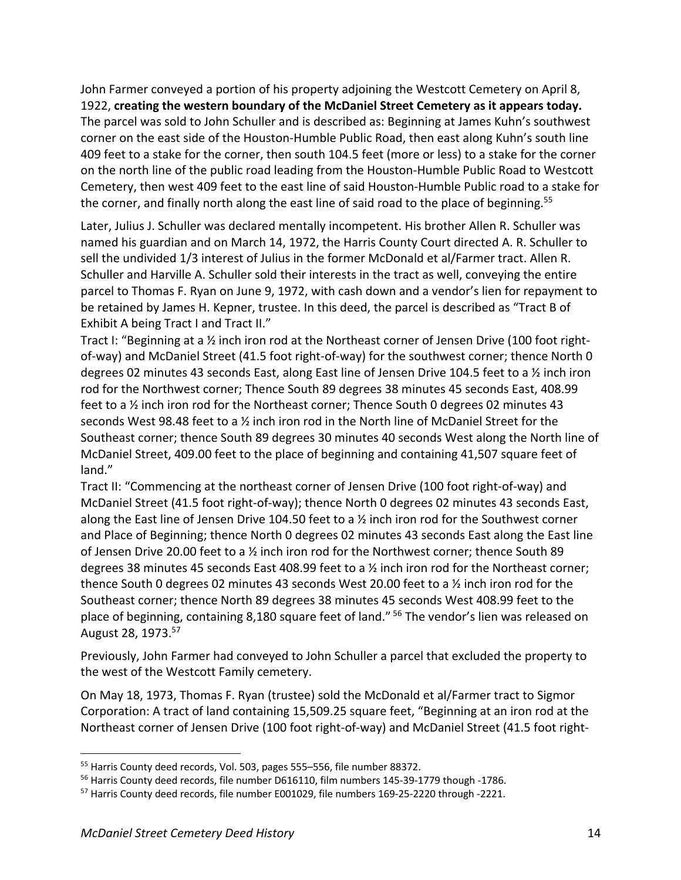John Farmer conveyed a portion of his property adjoining the Westcott Cemetery on April 8, 1922, **creating the western boundary of the McDaniel Street Cemetery as it appears today.** The parcel was sold to John Schuller and is described as: Beginning at James Kuhn's southwest corner on the east side of the Houston-Humble Public Road, then east along Kuhn's south line 409 feet to a stake for the corner, then south 104.5 feet (more or less) to a stake for the corner on the north line of the public road leading from the Houston-Humble Public Road to Westcott Cemetery, then west 409 feet to the east line of said Houston-Humble Public road to a stake for the corner, and finally north along the east line of said road to the place of beginning.<sup>55</sup>

Later, Julius J. Schuller was declared mentally incompetent. His brother Allen R. Schuller was named his guardian and on March 14, 1972, the Harris County Court directed A. R. Schuller to sell the undivided 1/3 interest of Julius in the former McDonald et al/Farmer tract. Allen R. Schuller and Harville A. Schuller sold their interests in the tract as well, conveying the entire parcel to Thomas F. Ryan on June 9, 1972, with cash down and a vendor's lien for repayment to be retained by James H. Kepner, trustee. In this deed, the parcel is described as "Tract B of Exhibit A being Tract I and Tract II."

Tract I: "Beginning at a ½ inch iron rod at the Northeast corner of Jensen Drive (100 foot rightof-way) and McDaniel Street (41.5 foot right-of-way) for the southwest corner; thence North 0 degrees 02 minutes 43 seconds East, along East line of Jensen Drive 104.5 feet to a ½ inch iron rod for the Northwest corner; Thence South 89 degrees 38 minutes 45 seconds East, 408.99 feet to a 1/<sub>2</sub> inch iron rod for the Northeast corner; Thence South 0 degrees 02 minutes 43 seconds West 98.48 feet to a ½ inch iron rod in the North line of McDaniel Street for the Southeast corner; thence South 89 degrees 30 minutes 40 seconds West along the North line of McDaniel Street, 409.00 feet to the place of beginning and containing 41,507 square feet of land."

Tract II: "Commencing at the northeast corner of Jensen Drive (100 foot right-of-way) and McDaniel Street (41.5 foot right-of-way); thence North 0 degrees 02 minutes 43 seconds East, along the East line of Jensen Drive 104.50 feet to a  $\frac{1}{2}$  inch iron rod for the Southwest corner and Place of Beginning; thence North 0 degrees 02 minutes 43 seconds East along the East line of Jensen Drive 20.00 feet to a ½ inch iron rod for the Northwest corner; thence South 89 degrees 38 minutes 45 seconds East 408.99 feet to a ½ inch iron rod for the Northeast corner; thence South 0 degrees 02 minutes 43 seconds West 20.00 feet to a ½ inch iron rod for the Southeast corner; thence North 89 degrees 38 minutes 45 seconds West 408.99 feet to the place of beginning, containing 8,180 square feet of land." <sup>56</sup> The vendor's lien was released on August 28, 1973.57

Previously, John Farmer had conveyed to John Schuller a parcel that excluded the property to the west of the Westcott Family cemetery.

On May 18, 1973, Thomas F. Ryan (trustee) sold the McDonald et al/Farmer tract to Sigmor Corporation: A tract of land containing 15,509.25 square feet, "Beginning at an iron rod at the Northeast corner of Jensen Drive (100 foot right-of-way) and McDaniel Street (41.5 foot right-

<sup>55</sup> Harris County deed records, Vol. 503, pages 555–556, file number 88372.

<sup>&</sup>lt;sup>56</sup> Harris County deed records, file number D616110, film numbers 145-39-1779 though -1786.

<sup>57</sup> Harris County deed records, file number E001029, file numbers 169-25-2220 through -2221.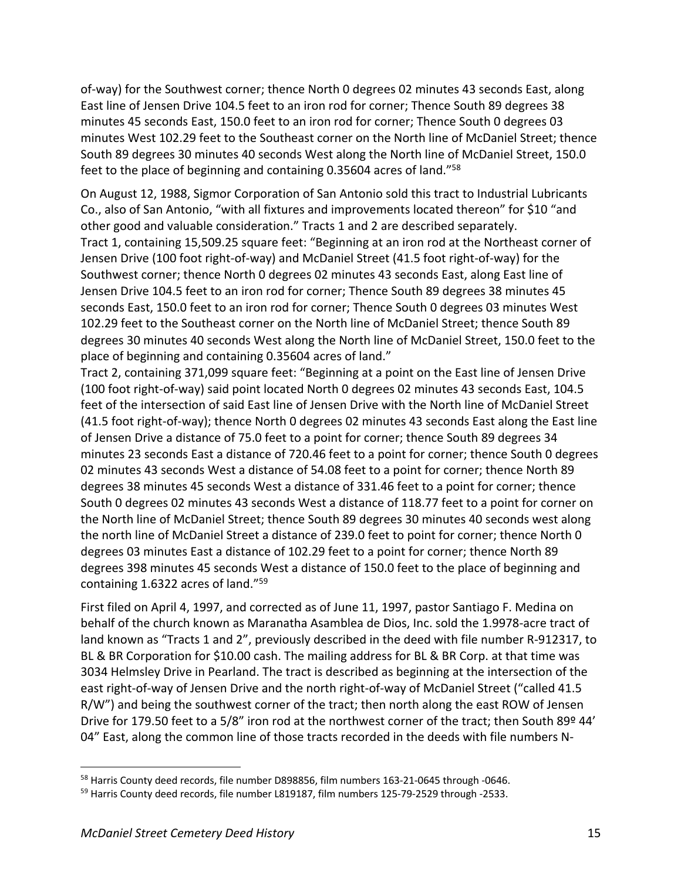of-way) for the Southwest corner; thence North 0 degrees 02 minutes 43 seconds East, along East line of Jensen Drive 104.5 feet to an iron rod for corner; Thence South 89 degrees 38 minutes 45 seconds East, 150.0 feet to an iron rod for corner; Thence South 0 degrees 03 minutes West 102.29 feet to the Southeast corner on the North line of McDaniel Street; thence South 89 degrees 30 minutes 40 seconds West along the North line of McDaniel Street, 150.0 feet to the place of beginning and containing 0.35604 acres of land."58

On August 12, 1988, Sigmor Corporation of San Antonio sold this tract to Industrial Lubricants Co., also of San Antonio, "with all fixtures and improvements located thereon" for \$10 "and other good and valuable consideration." Tracts 1 and 2 are described separately. Tract 1, containing 15,509.25 square feet: "Beginning at an iron rod at the Northeast corner of Jensen Drive (100 foot right-of-way) and McDaniel Street (41.5 foot right-of-way) for the Southwest corner; thence North 0 degrees 02 minutes 43 seconds East, along East line of Jensen Drive 104.5 feet to an iron rod for corner; Thence South 89 degrees 38 minutes 45 seconds East, 150.0 feet to an iron rod for corner; Thence South 0 degrees 03 minutes West 102.29 feet to the Southeast corner on the North line of McDaniel Street; thence South 89 degrees 30 minutes 40 seconds West along the North line of McDaniel Street, 150.0 feet to the place of beginning and containing 0.35604 acres of land."

Tract 2, containing 371,099 square feet: "Beginning at a point on the East line of Jensen Drive (100 foot right-of-way) said point located North 0 degrees 02 minutes 43 seconds East, 104.5 feet of the intersection of said East line of Jensen Drive with the North line of McDaniel Street (41.5 foot right-of-way); thence North 0 degrees 02 minutes 43 seconds East along the East line of Jensen Drive a distance of 75.0 feet to a point for corner; thence South 89 degrees 34 minutes 23 seconds East a distance of 720.46 feet to a point for corner; thence South 0 degrees 02 minutes 43 seconds West a distance of 54.08 feet to a point for corner; thence North 89 degrees 38 minutes 45 seconds West a distance of 331.46 feet to a point for corner; thence South 0 degrees 02 minutes 43 seconds West a distance of 118.77 feet to a point for corner on the North line of McDaniel Street; thence South 89 degrees 30 minutes 40 seconds west along the north line of McDaniel Street a distance of 239.0 feet to point for corner; thence North 0 degrees 03 minutes East a distance of 102.29 feet to a point for corner; thence North 89 degrees 398 minutes 45 seconds West a distance of 150.0 feet to the place of beginning and containing 1.6322 acres of land."59

First filed on April 4, 1997, and corrected as of June 11, 1997, pastor Santiago F. Medina on behalf of the church known as Maranatha Asamblea de Dios, Inc. sold the 1.9978-acre tract of land known as "Tracts 1 and 2", previously described in the deed with file number R-912317, to BL & BR Corporation for \$10.00 cash. The mailing address for BL & BR Corp. at that time was 3034 Helmsley Drive in Pearland. The tract is described as beginning at the intersection of the east right-of-way of Jensen Drive and the north right-of-way of McDaniel Street ("called 41.5 R/W") and being the southwest corner of the tract; then north along the east ROW of Jensen Drive for 179.50 feet to a 5/8" iron rod at the northwest corner of the tract; then South 89º 44' 04" East, along the common line of those tracts recorded in the deeds with file numbers N-

<sup>&</sup>lt;sup>58</sup> Harris County deed records, file number D898856, film numbers 163-21-0645 through -0646.

<sup>&</sup>lt;sup>59</sup> Harris County deed records, file number L819187, film numbers 125-79-2529 through -2533.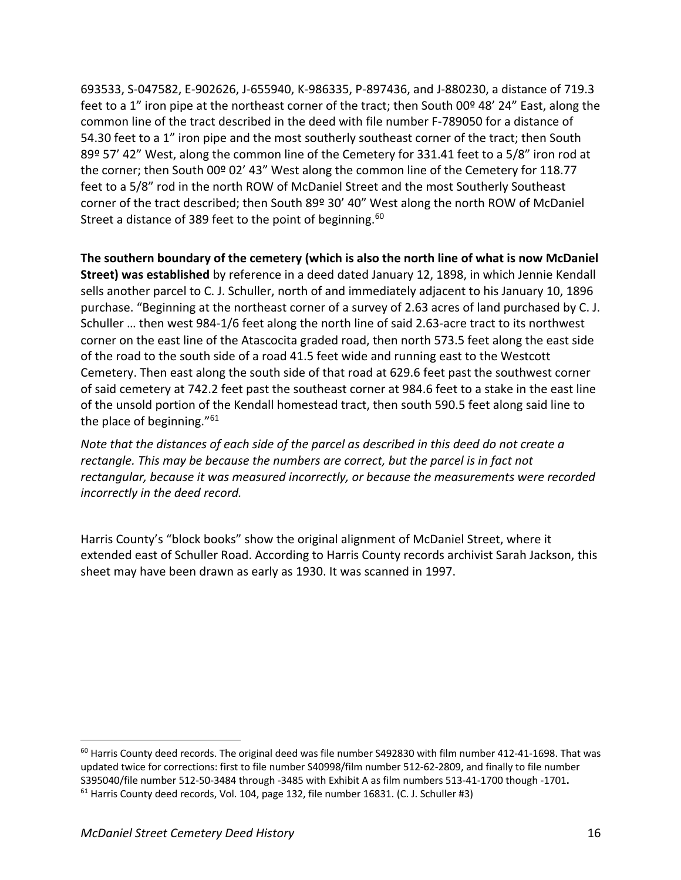693533, S-047582, E-902626, J-655940, K-986335, P-897436, and J-880230, a distance of 719.3 feet to a 1" iron pipe at the northeast corner of the tract; then South 00º 48' 24" East, along the common line of the tract described in the deed with file number F-789050 for a distance of 54.30 feet to a 1" iron pipe and the most southerly southeast corner of the tract; then South 89º 57' 42" West, along the common line of the Cemetery for 331.41 feet to a 5/8" iron rod at the corner; then South 00º 02' 43" West along the common line of the Cemetery for 118.77 feet to a 5/8" rod in the north ROW of McDaniel Street and the most Southerly Southeast corner of the tract described; then South 89º 30' 40" West along the north ROW of McDaniel Street a distance of 389 feet to the point of beginning.<sup>60</sup>

**The southern boundary of the cemetery (which is also the north line of what is now McDaniel Street) was established** by reference in a deed dated January 12, 1898, in which Jennie Kendall sells another parcel to C. J. Schuller, north of and immediately adjacent to his January 10, 1896 purchase. "Beginning at the northeast corner of a survey of 2.63 acres of land purchased by C. J. Schuller … then west 984-1/6 feet along the north line of said 2.63-acre tract to its northwest corner on the east line of the Atascocita graded road, then north 573.5 feet along the east side of the road to the south side of a road 41.5 feet wide and running east to the Westcott Cemetery. Then east along the south side of that road at 629.6 feet past the southwest corner of said cemetery at 742.2 feet past the southeast corner at 984.6 feet to a stake in the east line of the unsold portion of the Kendall homestead tract, then south 590.5 feet along said line to the place of beginning."61

*Note that the distances of each side of the parcel as described in this deed do not create a rectangle. This may be because the numbers are correct, but the parcel is in fact not rectangular, because it was measured incorrectly, or because the measurements were recorded incorrectly in the deed record.*

Harris County's "block books" show the original alignment of McDaniel Street, where it extended east of Schuller Road. According to Harris County records archivist Sarah Jackson, this sheet may have been drawn as early as 1930. It was scanned in 1997.

 $60$  Harris County deed records. The original deed was file number S492830 with film number 412-41-1698. That was updated twice for corrections: first to file number S40998/film number 512-62-2809, and finally to file number S395040/file number 512-50-3484 through -3485 with Exhibit A as film numbers 513-41-1700 though -1701**.** <sup>61</sup> Harris County deed records, Vol. 104, page 132, file number 16831. (C. J. Schuller #3)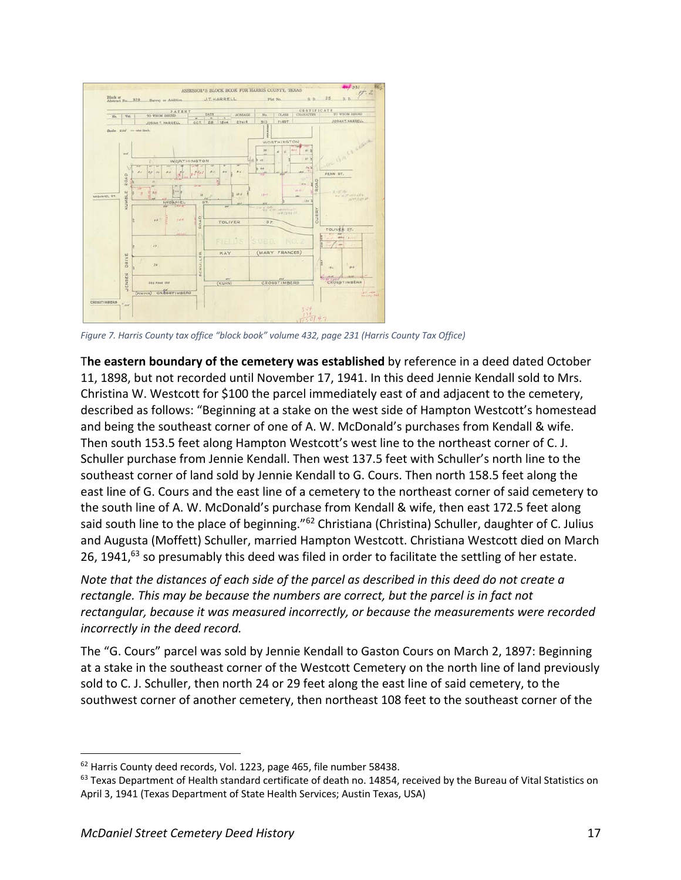![](_page_16_Figure_0.jpeg)

*Figure 7. Harris County tax office "block book" volume 432, page 231 (Harris County Tax Office)*

T**he eastern boundary of the cemetery was established** by reference in a deed dated October 11, 1898, but not recorded until November 17, 1941. In this deed Jennie Kendall sold to Mrs. Christina W. Westcott for \$100 the parcel immediately east of and adjacent to the cemetery, described as follows: "Beginning at a stake on the west side of Hampton Westcott's homestead and being the southeast corner of one of A. W. McDonald's purchases from Kendall & wife. Then south 153.5 feet along Hampton Westcott's west line to the northeast corner of C. J. Schuller purchase from Jennie Kendall. Then west 137.5 feet with Schuller's north line to the southeast corner of land sold by Jennie Kendall to G. Cours. Then north 158.5 feet along the east line of G. Cours and the east line of a cemetery to the northeast corner of said cemetery to the south line of A. W. McDonald's purchase from Kendall & wife, then east 172.5 feet along said south line to the place of beginning."<sup>62</sup> Christiana (Christina) Schuller, daughter of C. Julius and Augusta (Moffett) Schuller, married Hampton Westcott. Christiana Westcott died on March 26, 1941, $^{63}$  so presumably this deed was filed in order to facilitate the settling of her estate.

*Note that the distances of each side of the parcel as described in this deed do not create a rectangle. This may be because the numbers are correct, but the parcel is in fact not rectangular, because it was measured incorrectly, or because the measurements were recorded incorrectly in the deed record.*

The "G. Cours" parcel was sold by Jennie Kendall to Gaston Cours on March 2, 1897: Beginning at a stake in the southeast corner of the Westcott Cemetery on the north line of land previously sold to C. J. Schuller, then north 24 or 29 feet along the east line of said cemetery, to the southwest corner of another cemetery, then northeast 108 feet to the southeast corner of the

<sup>&</sup>lt;sup>62</sup> Harris County deed records, Vol. 1223, page 465, file number 58438.

 $63$  Texas Department of Health standard certificate of death no. 14854, received by the Bureau of Vital Statistics on April 3, 1941 (Texas Department of State Health Services; Austin Texas, USA)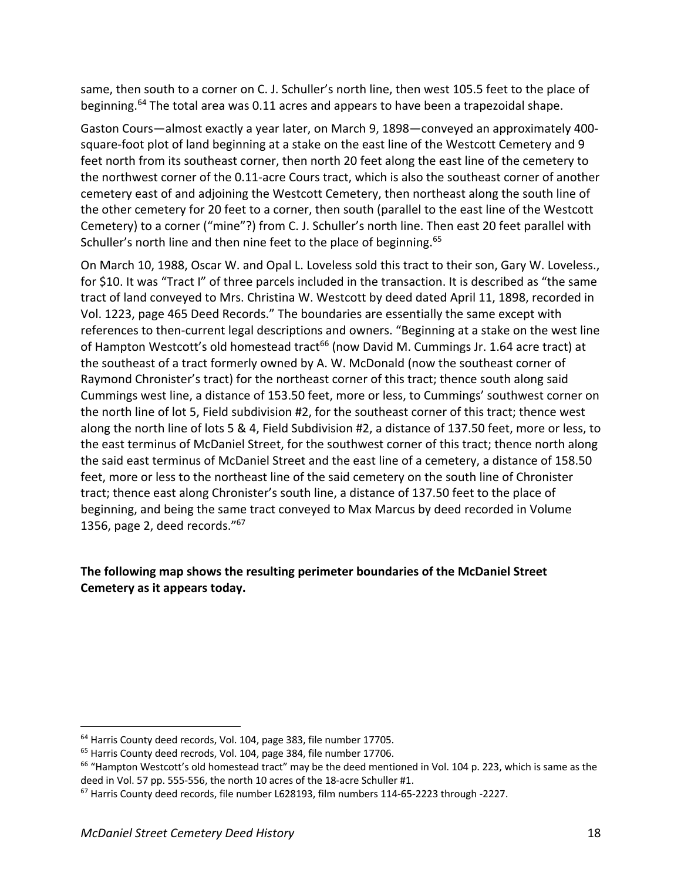same, then south to a corner on C. J. Schuller's north line, then west 105.5 feet to the place of beginning.64 The total area was 0.11 acres and appears to have been a trapezoidal shape.

Gaston Cours—almost exactly a year later, on March 9, 1898—conveyed an approximately 400 square-foot plot of land beginning at a stake on the east line of the Westcott Cemetery and 9 feet north from its southeast corner, then north 20 feet along the east line of the cemetery to the northwest corner of the 0.11-acre Cours tract, which is also the southeast corner of another cemetery east of and adjoining the Westcott Cemetery, then northeast along the south line of the other cemetery for 20 feet to a corner, then south (parallel to the east line of the Westcott Cemetery) to a corner ("mine"?) from C. J. Schuller's north line. Then east 20 feet parallel with Schuller's north line and then nine feet to the place of beginning.<sup>65</sup>

On March 10, 1988, Oscar W. and Opal L. Loveless sold this tract to their son, Gary W. Loveless., for \$10. It was "Tract I" of three parcels included in the transaction. It is described as "the same tract of land conveyed to Mrs. Christina W. Westcott by deed dated April 11, 1898, recorded in Vol. 1223, page 465 Deed Records." The boundaries are essentially the same except with references to then-current legal descriptions and owners. "Beginning at a stake on the west line of Hampton Westcott's old homestead tract<sup>66</sup> (now David M. Cummings Jr. 1.64 acre tract) at the southeast of a tract formerly owned by A. W. McDonald (now the southeast corner of Raymond Chronister's tract) for the northeast corner of this tract; thence south along said Cummings west line, a distance of 153.50 feet, more or less, to Cummings' southwest corner on the north line of lot 5, Field subdivision #2, for the southeast corner of this tract; thence west along the north line of lots 5 & 4, Field Subdivision #2, a distance of 137.50 feet, more or less, to the east terminus of McDaniel Street, for the southwest corner of this tract; thence north along the said east terminus of McDaniel Street and the east line of a cemetery, a distance of 158.50 feet, more or less to the northeast line of the said cemetery on the south line of Chronister tract; thence east along Chronister's south line, a distance of 137.50 feet to the place of beginning, and being the same tract conveyed to Max Marcus by deed recorded in Volume 1356, page 2, deed records."67

## **The following map shows the resulting perimeter boundaries of the McDaniel Street Cemetery as it appears today.**

<sup>&</sup>lt;sup>64</sup> Harris County deed records, Vol. 104, page 383, file number 17705.

<sup>&</sup>lt;sup>65</sup> Harris County deed recrods, Vol. 104, page 384, file number 17706.

 $66$  "Hampton Westcott's old homestead tract" may be the deed mentioned in Vol. 104 p. 223, which is same as the deed in Vol. 57 pp. 555-556, the north 10 acres of the 18-acre Schuller #1.

 $67$  Harris County deed records, file number L628193, film numbers 114-65-2223 through -2227.